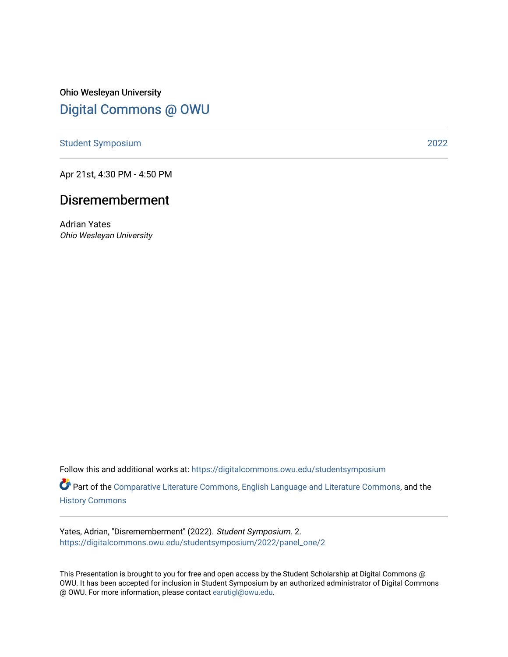Ohio Wesleyan University [Digital Commons @ OWU](https://digitalcommons.owu.edu/) 

[Student Symposium](https://digitalcommons.owu.edu/studentsymposium) [2022](https://digitalcommons.owu.edu/studentsymposium/2022) 

Apr 21st, 4:30 PM - 4:50 PM

## Disrememberment

Adrian Yates Ohio Wesleyan University

Follow this and additional works at: [https://digitalcommons.owu.edu/studentsymposium](https://digitalcommons.owu.edu/studentsymposium?utm_source=digitalcommons.owu.edu%2Fstudentsymposium%2F2022%2Fpanel_one%2F2&utm_medium=PDF&utm_campaign=PDFCoverPages)

Part of the [Comparative Literature Commons](http://network.bepress.com/hgg/discipline/454?utm_source=digitalcommons.owu.edu%2Fstudentsymposium%2F2022%2Fpanel_one%2F2&utm_medium=PDF&utm_campaign=PDFCoverPages), [English Language and Literature Commons,](http://network.bepress.com/hgg/discipline/455?utm_source=digitalcommons.owu.edu%2Fstudentsymposium%2F2022%2Fpanel_one%2F2&utm_medium=PDF&utm_campaign=PDFCoverPages) and the [History Commons](http://network.bepress.com/hgg/discipline/489?utm_source=digitalcommons.owu.edu%2Fstudentsymposium%2F2022%2Fpanel_one%2F2&utm_medium=PDF&utm_campaign=PDFCoverPages)

Yates, Adrian, "Disrememberment" (2022). Student Symposium. 2. [https://digitalcommons.owu.edu/studentsymposium/2022/panel\\_one/2](https://digitalcommons.owu.edu/studentsymposium/2022/panel_one/2?utm_source=digitalcommons.owu.edu%2Fstudentsymposium%2F2022%2Fpanel_one%2F2&utm_medium=PDF&utm_campaign=PDFCoverPages) 

This Presentation is brought to you for free and open access by the Student Scholarship at Digital Commons @ OWU. It has been accepted for inclusion in Student Symposium by an authorized administrator of Digital Commons @ OWU. For more information, please contact [earutigl@owu.edu.](mailto:earutigl@owu.edu)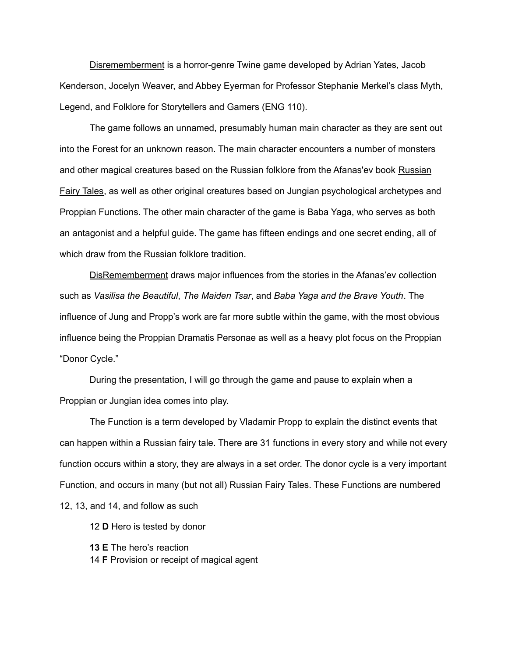Disrememberment is a horror-genre Twine game developed by Adrian Yates, Jacob Kenderson, Jocelyn Weaver, and Abbey Eyerman for Professor Stephanie Merkel's class Myth, Legend, and Folklore for Storytellers and Gamers (ENG 110).

The game follows an unnamed, presumably human main character as they are sent out into the Forest for an unknown reason. The main character encounters a number of monsters and other magical creatures based on the Russian folklore from the Afanas'ev book Russian Fairy Tales, as well as other original creatures based on Jungian psychological archetypes and Proppian Functions. The other main character of the game is Baba Yaga, who serves as both an antagonist and a helpful guide. The game has fifteen endings and one secret ending, all of which draw from the Russian folklore tradition.

DisRememberment draws major influences from the stories in the Afanas'ev collection such as *Vasilisa the Beautiful*, *The Maiden Tsar*, and *Baba Yaga and the Brave Youth*. The influence of Jung and Propp's work are far more subtle within the game, with the most obvious influence being the Proppian Dramatis Personae as well as a heavy plot focus on the Proppian "Donor Cycle."

During the presentation, I will go through the game and pause to explain when a Proppian or Jungian idea comes into play.

The Function is a term developed by Vladamir Propp to explain the distinct events that can happen within a Russian fairy tale. There are 31 functions in every story and while not every function occurs within a story, they are always in a set order. The donor cycle is a very important Function, and occurs in many (but not all) Russian Fairy Tales. These Functions are numbered 12, 13, and 14, and follow as such

12 **D** Hero is tested by donor

**13 E** The hero's reaction

14 **F** Provision or receipt of magical agent